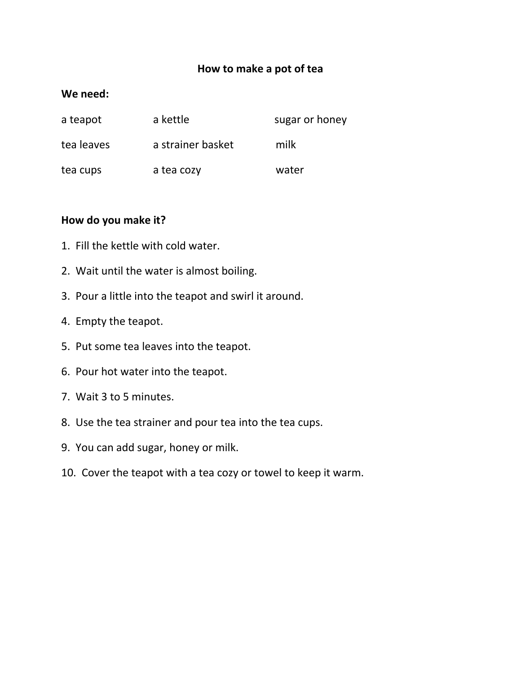#### **How to make a pot of tea**

#### **We need:**

| a teapot   | a kettle          | sugar or honey |
|------------|-------------------|----------------|
| tea leaves | a strainer basket | milk           |
| tea cups   | a tea cozy        | water          |

#### **How do you make it?**

- 1. Fill the kettle with cold water.
- 2. Wait until the water is almost boiling.
- 3. Pour a little into the teapot and swirl it around.
- 4. Empty the teapot.
- 5. Put some tea leaves into the teapot.
- 6. Pour hot water into the teapot.
- 7. Wait 3 to 5 minutes.
- 8. Use the tea strainer and pour tea into the tea cups.
- 9. You can add sugar, honey or milk.
- 10. Cover the teapot with a tea cozy or towel to keep it warm.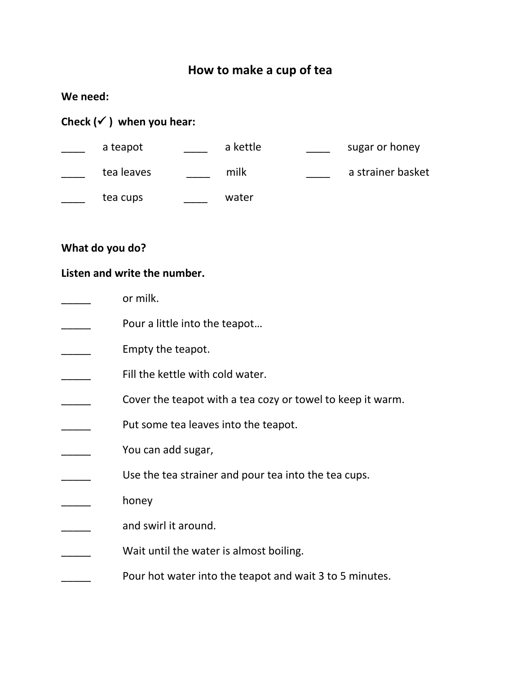# **How to make a cup of tea**

## **We need:**

# **Check ( ) when you hear:**

| a teapot   | a kettle | sugar or honey    |
|------------|----------|-------------------|
| tea leaves | milk     | a strainer basket |
| tea cups   | water    |                   |

## **What do you do?**

## **Listen and write the number.**

| or milk.                                                   |
|------------------------------------------------------------|
| Pour a little into the teapot                              |
| Empty the teapot.                                          |
| Fill the kettle with cold water.                           |
| Cover the teapot with a tea cozy or towel to keep it warm. |
| Put some tea leaves into the teapot.                       |
| You can add sugar,                                         |
| Use the tea strainer and pour tea into the tea cups.       |
| honey                                                      |
| and swirl it around.                                       |
| Wait until the water is almost boiling.                    |
| Pour hot water into the teapot and wait 3 to 5 minutes.    |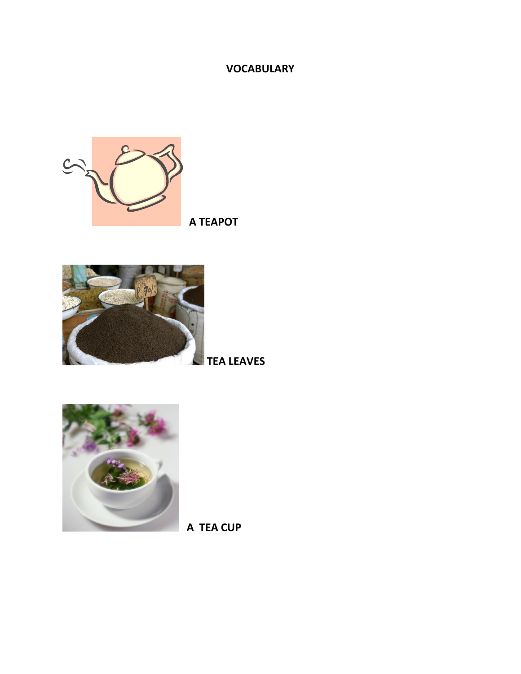#### **VOCABULARY**



 **A TEAPOT**



**TEA LEAVES**



 **A TEA CUP**